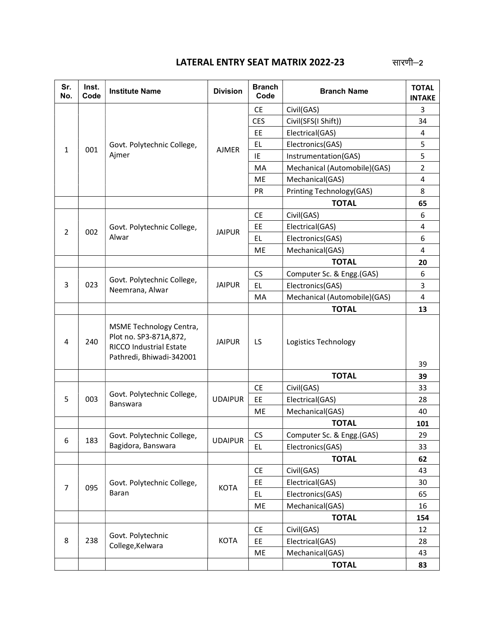| Sr.<br>No.     | Inst.<br>Code | <b>Institute Name</b>                                                                                    | <b>Division</b> | <b>Branch</b><br>Code | <b>Branch Name</b>           | <b>TOTAL</b><br><b>INTAKE</b> |
|----------------|---------------|----------------------------------------------------------------------------------------------------------|-----------------|-----------------------|------------------------------|-------------------------------|
|                |               |                                                                                                          |                 | <b>CE</b>             | Civil(GAS)                   | 3                             |
|                |               |                                                                                                          |                 | <b>CES</b>            | Civil(SFS(I Shift))          | 34                            |
|                |               | Govt. Polytechnic College,<br>Ajmer                                                                      |                 | EE                    | Electrical(GAS)              | $\overline{4}$                |
| $\mathbf{1}$   | 001           |                                                                                                          | <b>AJMER</b>    | <b>EL</b>             | Electronics(GAS)             | 5                             |
|                |               |                                                                                                          |                 | IE                    | Instrumentation(GAS)         | 5                             |
|                |               |                                                                                                          |                 | MA                    | Mechanical (Automobile)(GAS) | $\overline{2}$                |
|                |               |                                                                                                          |                 | ME                    | Mechanical(GAS)              | $\overline{4}$                |
|                |               |                                                                                                          |                 | PR                    | Printing Technology(GAS)     | 8                             |
|                |               |                                                                                                          |                 |                       | <b>TOTAL</b>                 | 65                            |
|                |               |                                                                                                          |                 | <b>CE</b>             | Civil(GAS)                   | 6                             |
| $\overline{2}$ |               | Govt. Polytechnic College,                                                                               |                 | EE                    | Electrical(GAS)              | $\overline{4}$                |
|                | 002           | Alwar                                                                                                    | <b>JAIPUR</b>   | EL.                   | Electronics(GAS)             | 6                             |
|                |               |                                                                                                          |                 | ME                    | Mechanical(GAS)              | $\overline{\mathbf{4}}$       |
|                |               |                                                                                                          |                 |                       | <b>TOTAL</b>                 | 20                            |
|                |               |                                                                                                          |                 | <b>CS</b>             | Computer Sc. & Engg.(GAS)    | 6                             |
| 3              | 023           | Govt. Polytechnic College,                                                                               | <b>JAIPUR</b>   | EL                    | Electronics(GAS)             | 3                             |
|                |               | Neemrana, Alwar                                                                                          |                 | MA                    | Mechanical (Automobile)(GAS) | 4                             |
|                |               |                                                                                                          |                 |                       | <b>TOTAL</b>                 | 13                            |
| 4              | 240           | MSME Technology Centra,<br>Plot no. SP3-871A,872,<br>RICCO Industrial Estate<br>Pathredi, Bhiwadi-342001 | <b>JAIPUR</b>   | LS                    | Logistics Technology         | 39                            |
|                |               |                                                                                                          |                 |                       | <b>TOTAL</b>                 | 39                            |
|                |               |                                                                                                          |                 | <b>CE</b>             | Civil(GAS)                   | 33                            |
| 5              | 003           | Govt. Polytechnic College,                                                                               | <b>UDAIPUR</b>  | EE                    | Electrical(GAS)              | 28                            |
|                |               | <b>Banswara</b>                                                                                          |                 | ME                    | Mechanical(GAS)              | 40                            |
|                |               |                                                                                                          |                 |                       | <b>TOTAL</b>                 | 101                           |
|                |               | Govt. Polytechnic College,                                                                               |                 | CS                    | Computer Sc. & Engg.(GAS)    | 29                            |
| 6              | 183           | Bagidora, Banswara                                                                                       | <b>UDAIPUR</b>  | EL.                   | Electronics(GAS)             | 33                            |
|                |               |                                                                                                          |                 |                       | <b>TOTAL</b>                 | 62                            |
|                |               |                                                                                                          |                 | $\mathsf{CE}\,$       | Civil(GAS)                   | 43                            |
|                |               | Govt. Polytechnic College,                                                                               |                 | EE                    | Electrical(GAS)              | 30                            |
| $\overline{7}$ | 095           | Baran                                                                                                    | <b>KOTA</b>     | EL                    | Electronics(GAS)             | 65                            |
|                |               |                                                                                                          |                 | ME                    | Mechanical(GAS)              | 16                            |
|                |               |                                                                                                          |                 |                       | <b>TOTAL</b>                 | 154                           |
|                |               |                                                                                                          |                 | <b>CE</b>             | Civil(GAS)                   | 12                            |
| 8              | 238           | Govt. Polytechnic                                                                                        | <b>KOTA</b>     | EE.                   | Electrical(GAS)              | 28                            |
|                |               | College, Kelwara                                                                                         |                 | ME                    | Mechanical(GAS)              | 43                            |
|                |               |                                                                                                          |                 |                       | <b>TOTAL</b>                 | 83                            |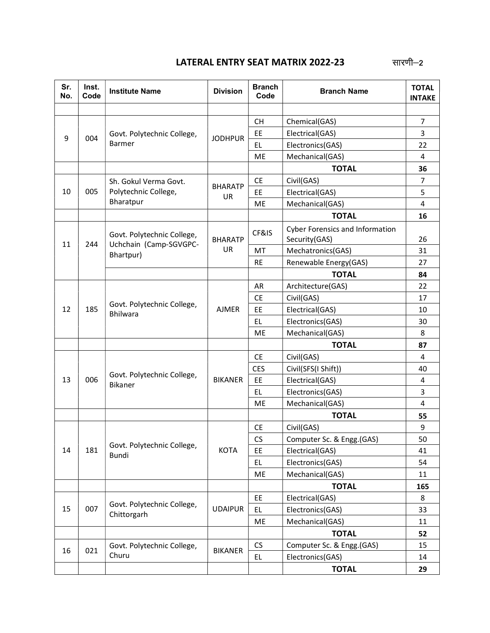| Sr.<br>No. | Inst.<br>Code | <b>Institute Name</b>                         | <b>Division</b>             | <b>Branch</b><br>Code | <b>Branch Name</b>                                      | <b>TOTAL</b><br><b>INTAKE</b> |
|------------|---------------|-----------------------------------------------|-----------------------------|-----------------------|---------------------------------------------------------|-------------------------------|
|            |               |                                               |                             |                       |                                                         |                               |
|            |               |                                               |                             | <b>CH</b>             | Chemical(GAS)                                           | $\overline{7}$                |
| 9          | 004           | Govt. Polytechnic College,                    | <b>JODHPUR</b>              | EE                    | Electrical(GAS)                                         | 3                             |
|            |               | Barmer                                        |                             | EL.                   | Electronics(GAS)                                        | 22                            |
|            |               |                                               |                             | ME                    | Mechanical(GAS)                                         | 4                             |
|            |               |                                               |                             |                       | <b>TOTAL</b>                                            | 36                            |
|            |               | Sh. Gokul Verma Govt.                         |                             | <b>CE</b>             | Civil(GAS)                                              | $\overline{7}$                |
| 10         | 005           | Polytechnic College,                          | <b>BHARATP</b><br><b>UR</b> | EE                    | Electrical(GAS)                                         | 5                             |
|            |               | Bharatpur                                     |                             | ME                    | Mechanical(GAS)                                         | 4                             |
|            |               |                                               |                             |                       | <b>TOTAL</b>                                            | 16                            |
|            |               | Govt. Polytechnic College,                    | <b>BHARATP</b>              | CF&IS                 | <b>Cyber Forensics and Information</b><br>Security(GAS) | 26                            |
| 11<br>244  |               | Uchchain (Camp-SGVGPC-                        | UR                          | MT                    | Mechatronics(GAS)                                       | 31                            |
|            |               | Bhartpur)                                     |                             | <b>RE</b>             | Renewable Energy(GAS)                                   | 27                            |
|            |               |                                               |                             |                       | <b>TOTAL</b>                                            | 84                            |
|            |               | Govt. Polytechnic College,<br><b>Bhilwara</b> |                             | AR                    | Architecture(GAS)                                       | 22                            |
|            |               |                                               |                             | <b>CE</b>             | Civil(GAS)                                              | 17                            |
| 12         | 185           |                                               | <b>AJMER</b>                | EE                    | Electrical(GAS)                                         | 10                            |
|            |               |                                               |                             | <b>EL</b>             | Electronics(GAS)                                        | 30                            |
|            |               |                                               |                             | ME                    | Mechanical(GAS)                                         | 8                             |
|            |               |                                               |                             |                       | <b>TOTAL</b>                                            | 87                            |
|            |               |                                               | <b>BIKANER</b>              | <b>CE</b>             | Civil(GAS)                                              | 4                             |
|            |               |                                               |                             | <b>CES</b>            | Civil(SFS(I Shift))                                     | 40                            |
| 13         | 006           | Govt. Polytechnic College,<br><b>Bikaner</b>  |                             | EE                    | Electrical(GAS)                                         | 4                             |
|            |               |                                               |                             | EL                    | Electronics(GAS)                                        | 3                             |
|            |               |                                               |                             | ME                    | Mechanical(GAS)                                         | $\overline{\mathbf{4}}$       |
|            |               |                                               |                             |                       | <b>TOTAL</b>                                            | 55                            |
|            |               |                                               |                             | <b>CE</b>             | Civil(GAS)                                              | 9                             |
|            |               | Govt. Polytechnic College,                    |                             | CS                    | Computer Sc. & Engg.(GAS)                               | 50                            |
| 14         | 181           | Bundi                                         | <b>KOTA</b>                 | EE.                   | Electrical(GAS)                                         | 41                            |
|            |               |                                               |                             | EL                    | Electronics(GAS)                                        | 54                            |
|            |               |                                               |                             | ME                    | Mechanical(GAS)                                         | 11                            |
|            |               |                                               |                             |                       | <b>TOTAL</b>                                            | 165                           |
|            |               | Govt. Polytechnic College,                    |                             | EE.                   | Electrical(GAS)                                         | 8                             |
| 15         | 007           | Chittorgarh                                   | <b>UDAIPUR</b>              | EL.                   | Electronics(GAS)                                        | 33                            |
|            |               |                                               |                             | ME                    | Mechanical(GAS)                                         | 11                            |
|            |               |                                               |                             |                       | <b>TOTAL</b>                                            | 52                            |
| 16         | 021           | Govt. Polytechnic College,                    | <b>BIKANER</b>              | CS                    | Computer Sc. & Engg.(GAS)                               | 15                            |
|            |               | Churu                                         |                             | EL.                   | Electronics(GAS)                                        | 14                            |
|            |               |                                               |                             |                       | <b>TOTAL</b>                                            | 29                            |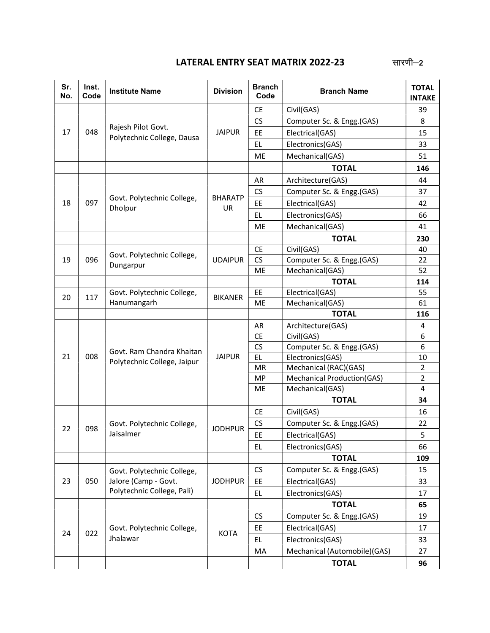| Sr.<br>No. | Inst.<br>Code | <b>Institute Name</b>                                    | <b>Division</b>      | <b>Branch</b><br>Code | <b>Branch Name</b>                        | <b>TOTAL</b><br><b>INTAKE</b> |
|------------|---------------|----------------------------------------------------------|----------------------|-----------------------|-------------------------------------------|-------------------------------|
|            |               |                                                          |                      | <b>CE</b>             | Civil(GAS)                                | 39                            |
|            |               |                                                          |                      | CS                    | Computer Sc. & Engg.(GAS)                 | 8                             |
| 17         | 048           | Rajesh Pilot Govt.<br>Polytechnic College, Dausa         | <b>JAIPUR</b>        | EE                    | Electrical(GAS)                           | 15                            |
|            |               |                                                          |                      | EL.                   | Electronics(GAS)                          | 33                            |
|            |               |                                                          |                      | ME                    | Mechanical(GAS)                           | 51                            |
|            |               |                                                          |                      |                       | <b>TOTAL</b>                              | 146                           |
|            |               |                                                          |                      | <b>AR</b>             | Architecture(GAS)                         | 44                            |
|            |               |                                                          |                      | <b>CS</b>             | Computer Sc. & Engg.(GAS)                 | 37                            |
| 18         | 097           | Govt. Polytechnic College,<br>Dholpur                    | <b>BHARATP</b><br>UR | EE                    | Electrical(GAS)                           | 42                            |
|            |               |                                                          |                      | EL.                   | Electronics(GAS)                          | 66                            |
|            |               |                                                          |                      | ME                    | Mechanical(GAS)                           | 41                            |
|            |               |                                                          |                      |                       | <b>TOTAL</b>                              | 230                           |
|            |               |                                                          |                      | <b>CE</b>             | Civil(GAS)                                | 40                            |
| 19         | 096           | Govt. Polytechnic College,<br>Dungarpur                  | <b>UDAIPUR</b>       | <b>CS</b>             | Computer Sc. & Engg.(GAS)                 | 22                            |
|            |               |                                                          |                      | ME                    | Mechanical(GAS)                           | 52                            |
|            |               |                                                          |                      |                       | <b>TOTAL</b>                              | 114                           |
| 20         | 117           | Govt. Polytechnic College,                               | <b>BIKANER</b>       | EE.                   | Electrical(GAS)                           | 55                            |
|            |               | Hanumangarh                                              |                      | <b>ME</b>             | Mechanical(GAS)                           | 61                            |
|            |               |                                                          |                      |                       | <b>TOTAL</b>                              | 116                           |
|            |               |                                                          |                      | AR.                   | Architecture(GAS)                         | 4                             |
|            |               |                                                          |                      | <b>CE</b>             | Civil(GAS)                                | 6                             |
| 21         | 008           | Govt. Ram Chandra Khaitan<br>Polytechnic College, Jaipur | <b>JAIPUR</b>        | CS<br>EL.             | Computer Sc. & Engg.(GAS)                 | 6<br>10                       |
|            |               |                                                          |                      | <b>MR</b>             | Electronics(GAS)<br>Mechanical (RAC)(GAS) | $\overline{2}$                |
|            |               |                                                          |                      | <b>MP</b>             | <b>Mechanical Production(GAS)</b>         | $\overline{2}$                |
|            |               |                                                          |                      | ME                    | Mechanical(GAS)                           | $\overline{4}$                |
|            |               |                                                          |                      |                       | <b>TOTAL</b>                              | 34                            |
|            |               |                                                          |                      | <b>CE</b>             | Civil(GAS)                                | 16                            |
|            |               | Govt. Polytechnic College,                               |                      | CS                    | Computer Sc. & Engg.(GAS)                 | 22                            |
| 22         | 098           | Jaisalmer                                                | <b>JODHPUR</b>       | EE                    | Electrical(GAS)                           | 5                             |
|            |               |                                                          |                      | EL.                   | Electronics(GAS)                          | 66                            |
|            |               |                                                          |                      |                       | <b>TOTAL</b>                              | 109                           |
|            |               | Govt. Polytechnic College,                               |                      | <b>CS</b>             | Computer Sc. & Engg.(GAS)                 | 15                            |
| 23         | 050           | Jalore (Camp - Govt.                                     | <b>JODHPUR</b>       | EE                    | Electrical(GAS)                           | 33                            |
|            |               | Polytechnic College, Pali)                               |                      | EL.                   | Electronics(GAS)                          | 17                            |
|            |               |                                                          |                      |                       | <b>TOTAL</b>                              | 65                            |
|            |               |                                                          |                      | <b>CS</b>             | Computer Sc. & Engg.(GAS)                 | 19                            |
|            |               | Govt. Polytechnic College,                               |                      | EE                    | Electrical(GAS)                           | 17                            |
| 24         | 022           | Jhalawar                                                 | <b>KOTA</b>          | EL.                   | Electronics(GAS)                          | 33                            |
|            |               |                                                          |                      | MA                    | Mechanical (Automobile)(GAS)              | 27                            |
|            |               |                                                          |                      |                       | <b>TOTAL</b>                              | 96                            |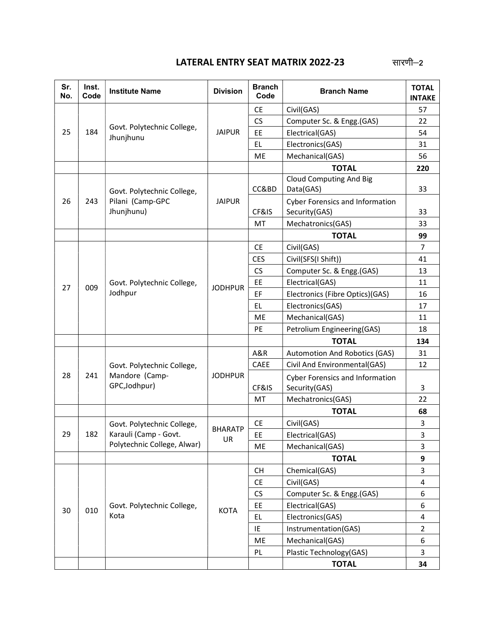| Sr.<br>No. | Inst.<br>Code | <b>Institute Name</b>                                         | <b>Division</b>      | <b>Branch</b><br>Code | <b>Branch Name</b>                                      | <b>TOTAL</b><br><b>INTAKE</b> |
|------------|---------------|---------------------------------------------------------------|----------------------|-----------------------|---------------------------------------------------------|-------------------------------|
|            |               |                                                               |                      | <b>CE</b>             | Civil(GAS)                                              | 57                            |
|            |               | Govt. Polytechnic College,                                    |                      | <b>CS</b>             | Computer Sc. & Engg.(GAS)                               | 22                            |
| 25         | 184           | Jhunjhunu                                                     | <b>JAIPUR</b>        | EE                    | Electrical(GAS)                                         | 54                            |
|            |               |                                                               |                      | EL                    | Electronics(GAS)                                        | 31                            |
|            |               |                                                               |                      | ME                    | Mechanical(GAS)                                         | 56                            |
|            |               |                                                               |                      |                       | <b>TOTAL</b>                                            | 220                           |
| 26         |               | Govt. Polytechnic College,                                    |                      | CC&BD                 | <b>Cloud Computing And Big</b><br>Data(GAS)             | 33                            |
|            | 243           | Pilani (Camp-GPC<br>Jhunjhunu)                                | <b>JAIPUR</b>        | CF&IS                 | <b>Cyber Forensics and Information</b><br>Security(GAS) | 33                            |
|            |               |                                                               |                      | MT                    | Mechatronics(GAS)                                       | 33                            |
|            |               |                                                               |                      |                       | <b>TOTAL</b>                                            | 99                            |
|            |               |                                                               |                      | <b>CE</b>             | Civil(GAS)                                              | 7                             |
|            |               |                                                               |                      | <b>CES</b>            | Civil(SFS(I Shift))                                     | 41                            |
|            | 009           | Govt. Polytechnic College,<br>Jodhpur                         |                      | CS                    | Computer Sc. & Engg.(GAS)                               | 13                            |
| 27         |               |                                                               | <b>JODHPUR</b>       | EE                    | Electrical(GAS)                                         | 11                            |
|            |               |                                                               |                      | EF                    | Electronics (Fibre Optics)(GAS)                         | 16                            |
|            |               |                                                               |                      | EL.                   | Electronics(GAS)                                        | 17                            |
|            |               |                                                               |                      | ME                    | Mechanical(GAS)                                         | 11                            |
|            |               |                                                               |                      | PE                    | Petrolium Engineering(GAS)                              | 18                            |
|            |               |                                                               |                      |                       | <b>TOTAL</b>                                            | 134                           |
|            |               | Govt. Polytechnic College,<br>Mandore (Camp-<br>GPC, Jodhpur) |                      | A&R                   | <b>Automotion And Robotics (GAS)</b>                    | 31                            |
|            |               |                                                               |                      | CAEE                  | Civil And Environmental(GAS)                            | 12                            |
| 28         | 241           |                                                               | <b>JODHPUR</b>       | CF&IS                 | <b>Cyber Forensics and Information</b><br>Security(GAS) | 3                             |
|            |               |                                                               |                      | MT                    | Mechatronics(GAS)                                       | 22                            |
|            |               |                                                               |                      |                       | <b>TOTAL</b>                                            | 68                            |
|            |               | Govt. Polytechnic College,                                    |                      | <b>CE</b>             | Civil(GAS)                                              | 3                             |
| 29         | 182           | Karauli (Camp - Govt.                                         | <b>BHARATP</b><br>UR | EE                    | Electrical(GAS)                                         | 3                             |
|            |               | Polytechnic College, Alwar)                                   |                      | ME                    | Mechanical(GAS)                                         | 3                             |
|            |               |                                                               |                      |                       | <b>TOTAL</b>                                            | 9                             |
|            |               |                                                               |                      | <b>CH</b>             | Chemical(GAS)                                           | $\mathsf{3}$                  |
|            |               |                                                               |                      | <b>CE</b>             | Civil(GAS)                                              | $\overline{4}$                |
|            |               |                                                               |                      | <b>CS</b>             | Computer Sc. & Engg.(GAS)                               | 6                             |
| 30         | 010           | Govt. Polytechnic College,                                    | <b>KOTA</b>          | EE                    | Electrical(GAS)                                         | 6                             |
|            |               | Kota                                                          |                      | EL                    | Electronics(GAS)                                        | $\overline{\mathbf{4}}$       |
|            |               |                                                               |                      | IE                    | Instrumentation(GAS)                                    | $\overline{2}$                |
|            |               |                                                               |                      | ME                    | Mechanical(GAS)                                         | 6                             |
|            |               |                                                               |                      | PL                    | Plastic Technology(GAS)                                 | 3                             |
|            |               |                                                               |                      |                       | <b>TOTAL</b>                                            | 34                            |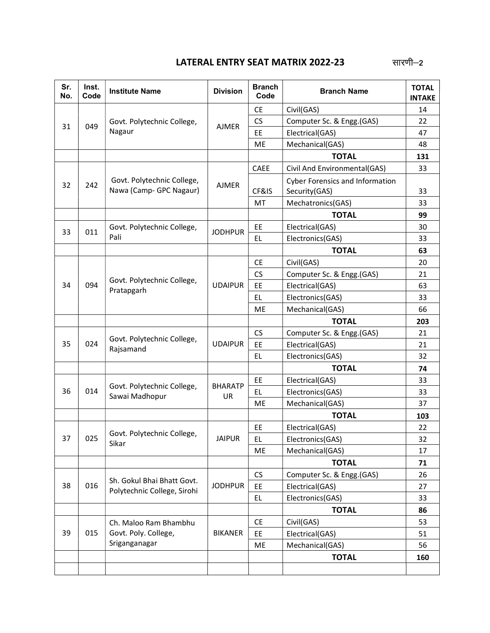| <b>Division</b><br><b>Institute Name</b><br><b>Branch Name</b><br>Code<br>No.<br>Code                                                                  | <b>TOTAL</b><br><b>INTAKE</b> |
|--------------------------------------------------------------------------------------------------------------------------------------------------------|-------------------------------|
| <b>CE</b><br>Civil(GAS)                                                                                                                                | 14                            |
| <b>CS</b><br>Computer Sc. & Engg.(GAS)<br>Govt. Polytechnic College,<br>31<br>049<br><b>AJMER</b>                                                      | 22                            |
| Nagaur<br>EE<br>Electrical(GAS)                                                                                                                        | 47                            |
| Mechanical(GAS)<br>ME                                                                                                                                  | 48                            |
| <b>TOTAL</b>                                                                                                                                           | 131                           |
| CAEE<br>Civil And Environmental(GAS)                                                                                                                   | 33                            |
| Govt. Polytechnic College,<br><b>Cyber Forensics and Information</b><br>32<br>242<br><b>AJMER</b><br>Nawa (Camp- GPC Nagaur)<br>CF&IS<br>Security(GAS) | 33                            |
| MT<br>Mechatronics(GAS)                                                                                                                                | 33                            |
| <b>TOTAL</b>                                                                                                                                           | 99                            |
| EE.<br>Electrical(GAS)<br>Govt. Polytechnic College,                                                                                                   | 30                            |
| 33<br>011<br><b>JODHPUR</b><br>Pali<br>EL<br>Electronics(GAS)                                                                                          | 33                            |
| <b>TOTAL</b>                                                                                                                                           | 63                            |
| <b>CE</b>                                                                                                                                              | 20                            |
| Civil(GAS)<br><b>CS</b><br>Computer Sc. & Engg.(GAS)                                                                                                   | 21                            |
| Govt. Polytechnic College,<br>34<br>094<br><b>UDAIPUR</b><br>EE<br>Electrical(GAS)                                                                     | 63                            |
| Pratapgarh<br>EL<br>Electronics(GAS)                                                                                                                   | 33                            |
| ME<br>Mechanical(GAS)                                                                                                                                  | 66                            |
| <b>TOTAL</b>                                                                                                                                           | 203                           |
| <b>CS</b><br>Computer Sc. & Engg.(GAS)                                                                                                                 | 21                            |
| Govt. Polytechnic College,<br>35<br>024<br><b>UDAIPUR</b><br>EE<br>Electrical(GAS)                                                                     | 21                            |
| Rajsamand<br>EL<br>Electronics(GAS)                                                                                                                    | 32                            |
| <b>TOTAL</b>                                                                                                                                           | 74                            |
| EE<br>Electrical(GAS)                                                                                                                                  | 33                            |
| Govt. Polytechnic College,<br><b>BHARATP</b><br>36<br>014<br>EL<br>Electronics(GAS)                                                                    | 33                            |
| Sawai Madhopur<br>UR<br>ME<br>Mechanical(GAS)                                                                                                          | 37                            |
| <b>TOTAL</b>                                                                                                                                           | 103                           |
| EE<br>Electrical(GAS)                                                                                                                                  | 22                            |
| Govt. Polytechnic College,<br>025<br>37<br><b>JAIPUR</b><br>EL<br>Electronics(GAS)                                                                     | 32                            |
| Sikar<br>ME<br>Mechanical(GAS)                                                                                                                         | 17                            |
| <b>TOTAL</b>                                                                                                                                           | 71                            |
| Computer Sc. & Engg.(GAS)<br><b>CS</b>                                                                                                                 | 26                            |
| Sh. Gokul Bhai Bhatt Govt.<br>016<br>38<br><b>JODHPUR</b><br>EE.<br>Electrical(GAS)                                                                    | 27                            |
| Polytechnic College, Sirohi<br>EL<br>Electronics(GAS)                                                                                                  | 33                            |
| <b>TOTAL</b>                                                                                                                                           | 86                            |
| <b>CE</b><br>Civil(GAS)                                                                                                                                | 53                            |
| Ch. Maloo Ram Bhambhu<br>39<br>015<br>Govt. Poly. College,<br><b>BIKANER</b><br>EE.                                                                    | 51                            |
| Electrical(GAS)<br>Sriganganagar<br>ME<br>Mechanical(GAS)                                                                                              | 56                            |
| <b>TOTAL</b>                                                                                                                                           | 160                           |
|                                                                                                                                                        |                               |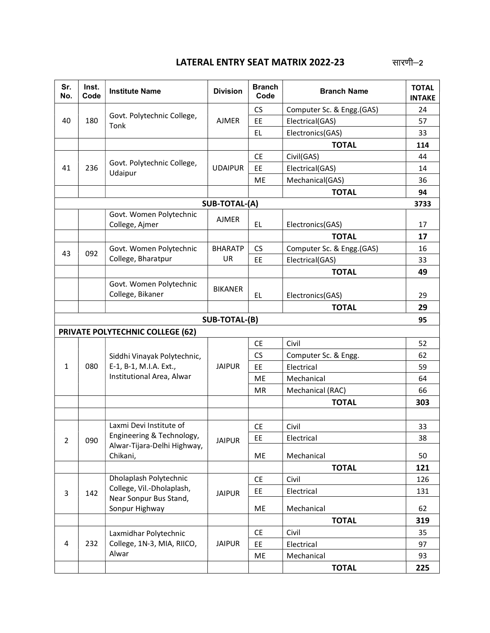| Sr.<br>No.   | Inst.<br>Code | <b>Institute Name</b>                                    | <b>Division</b> | <b>Branch</b><br>Code | <b>Branch Name</b>        | <b>TOTAL</b><br><b>INTAKE</b> |
|--------------|---------------|----------------------------------------------------------|-----------------|-----------------------|---------------------------|-------------------------------|
|              |               |                                                          |                 | <b>CS</b>             | Computer Sc. & Engg.(GAS) | 24                            |
| 40           | 180           | Govt. Polytechnic College,<br>Tonk                       | <b>AJMER</b>    | EE                    | Electrical(GAS)           | 57                            |
|              |               |                                                          |                 | EL.                   | Electronics(GAS)          | 33                            |
|              |               |                                                          |                 |                       | <b>TOTAL</b>              | 114                           |
|              |               |                                                          |                 | <b>CE</b>             | Civil(GAS)                | 44                            |
| 41           | 236           | Govt. Polytechnic College,<br>Udaipur                    | <b>UDAIPUR</b>  | EE                    | Electrical(GAS)           | 14                            |
|              |               |                                                          |                 | ME                    | Mechanical(GAS)           | 36                            |
|              |               |                                                          |                 |                       | <b>TOTAL</b>              | 94                            |
|              |               |                                                          | SUB-TOTAL-(A)   |                       |                           | 3733                          |
|              |               | Govt. Women Polytechnic<br>College, Ajmer                | <b>AJMER</b>    | EL.                   | Electronics(GAS)          | 17                            |
|              |               |                                                          |                 |                       | <b>TOTAL</b>              | 17                            |
| 43           | 092           | Govt. Women Polytechnic                                  | <b>BHARATP</b>  | <b>CS</b>             | Computer Sc. & Engg.(GAS) | 16                            |
|              |               | College, Bharatpur                                       | UR.             | EE                    | Electrical(GAS)           | 33                            |
|              |               |                                                          |                 |                       | <b>TOTAL</b>              | 49                            |
|              |               | Govt. Women Polytechnic<br>College, Bikaner              | <b>BIKANER</b>  | EL.                   | Electronics(GAS)          | 29                            |
|              |               |                                                          |                 |                       | <b>TOTAL</b>              | 29                            |
|              |               |                                                          | SUB-TOTAL-(B)   |                       |                           | 95                            |
|              |               | <b>PRIVATE POLYTECHNIC COLLEGE (62)</b>                  |                 |                       |                           |                               |
|              |               |                                                          |                 | <b>CE</b>             | Civil                     | 52                            |
|              |               | Siddhi Vinayak Polytechnic,                              |                 | <b>CS</b>             | Computer Sc. & Engg.      | 62                            |
| $\mathbf{1}$ | 080           | E-1, B-1, M.I.A. Ext.,<br>Institutional Area, Alwar      | <b>JAIPUR</b>   | EE                    | Electrical                | 59                            |
|              |               |                                                          |                 | <b>ME</b>             | Mechanical                | 64                            |
|              |               |                                                          |                 | <b>MR</b>             | Mechanical (RAC)          | 66                            |
|              |               |                                                          |                 |                       | <b>TOTAL</b>              | 303                           |
|              |               |                                                          |                 |                       |                           |                               |
|              |               | Laxmi Devi Institute of                                  |                 | <b>CE</b>             | Civil                     | 33                            |
| 2            | 090           | Engineering & Technology,<br>Alwar-Tijara-Delhi Highway, | <b>JAIPUR</b>   | EE                    | Electrical                | 38                            |
|              |               | Chikani,                                                 |                 | ME                    | Mechanical                | 50                            |
|              |               |                                                          |                 |                       | <b>TOTAL</b>              | 121                           |
|              |               | Dholaplash Polytechnic                                   |                 | <b>CE</b>             | Civil                     | 126                           |
| 3            | 142           | College, Vil.-Dholaplash,                                | <b>JAIPUR</b>   | EE                    | Electrical                | 131                           |
|              |               | Near Sonpur Bus Stand,<br>Sonpur Highway                 |                 | ME                    | Mechanical                | 62                            |
|              |               |                                                          |                 |                       | <b>TOTAL</b>              | 319                           |
|              |               | Laxmidhar Polytechnic                                    |                 | <b>CE</b>             | Civil                     | 35                            |
| 4            | 232           | College, 1N-3, MIA, RIICO,                               | <b>JAIPUR</b>   | EE.                   | Electrical                | 97                            |
|              |               | Alwar                                                    |                 | ME                    | Mechanical                | 93                            |
|              |               |                                                          |                 |                       | <b>TOTAL</b>              | 225                           |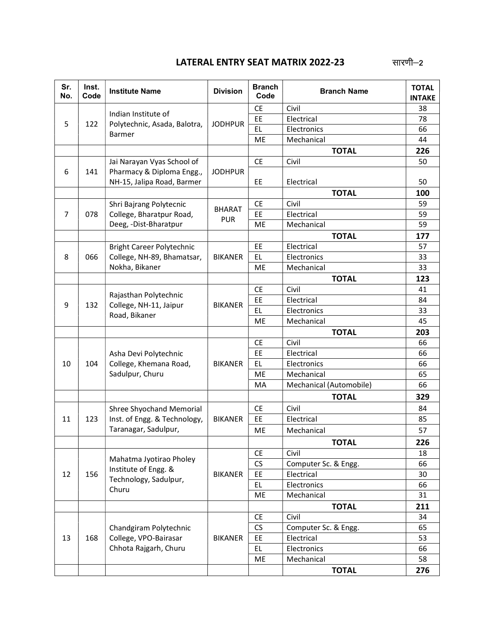| Sr.<br>No. | Inst.<br>Code         | <b>Institute Name</b>                                              | <b>Division</b> | <b>Branch</b><br>Code | <b>Branch Name</b>      | <b>TOTAL</b><br><b>INTAKE</b> |
|------------|-----------------------|--------------------------------------------------------------------|-----------------|-----------------------|-------------------------|-------------------------------|
|            |                       | Indian Institute of                                                |                 | <b>CE</b>             | Civil                   | 38                            |
| 5          | 122                   | Polytechnic, Asada, Balotra,                                       | <b>JODHPUR</b>  | EE                    | Electrical              | 78                            |
|            |                       | Barmer                                                             |                 | EL                    | Electronics             | 66                            |
|            |                       |                                                                    |                 | ME                    | Mechanical              | 44                            |
|            |                       |                                                                    |                 |                       | <b>TOTAL</b>            | 226                           |
|            |                       | Jai Narayan Vyas School of                                         |                 | <b>CE</b>             | Civil                   | 50                            |
| 6          | 141                   | Pharmacy & Diploma Engg.,                                          | <b>JODHPUR</b>  |                       |                         |                               |
|            |                       | NH-15, Jalipa Road, Barmer                                         |                 | EE                    | Electrical              | 50                            |
|            |                       |                                                                    |                 |                       | <b>TOTAL</b>            | 100                           |
|            |                       | Shri Bajrang Polytecnic                                            | <b>BHARAT</b>   | <b>CE</b>             | Civil                   | 59                            |
| 7          | 078                   | College, Bharatpur Road,                                           | <b>PUR</b>      | EE                    | Electrical              | 59                            |
|            | Deeg, -Dist-Bharatpur |                                                                    | <b>ME</b>       | Mechanical            | 59                      |                               |
|            |                       |                                                                    |                 |                       | <b>TOTAL</b>            | 177                           |
|            |                       | Bright Career Polytechnic                                          |                 | EE                    | Electrical              | 57                            |
| 8          | 066                   | College, NH-89, Bhamatsar,                                         | <b>BIKANER</b>  | EL.                   | Electronics             | 33                            |
|            | Nokha, Bikaner        |                                                                    | <b>ME</b>       | Mechanical            | 33                      |                               |
|            |                       |                                                                    |                 |                       | <b>TOTAL</b>            | 123                           |
|            |                       | Rajasthan Polytechnic                                              |                 | <b>CE</b>             | Civil                   | 41                            |
| 9          | 132                   | College, NH-11, Jaipur                                             | <b>BIKANER</b>  | EE                    | Electrical              | 84                            |
|            |                       | Road, Bikaner                                                      |                 | EL                    | Electronics             | 33                            |
|            |                       |                                                                    |                 | ME                    | Mechanical              | 45                            |
|            |                       |                                                                    |                 |                       | <b>TOTAL</b>            | 203                           |
|            |                       | Asha Devi Polytechnic<br>College, Khemana Road,<br>Sadulpur, Churu |                 | <b>CE</b>             | Civil                   | 66                            |
|            |                       |                                                                    |                 | EE                    | Electrical              | 66                            |
| 10         | 104                   |                                                                    | <b>BIKANER</b>  | EL                    | Electronics             | 66                            |
|            |                       |                                                                    |                 | ME                    | Mechanical              | 65                            |
|            |                       |                                                                    |                 | MA                    | Mechanical (Automobile) | 66                            |
|            |                       |                                                                    |                 |                       | <b>TOTAL</b>            | 329                           |
|            |                       | Shree Shyochand Memorial                                           |                 | <b>CE</b>             | Civil                   | 84                            |
| 11         | 123                   | Inst. of Engg. & Technology,                                       | <b>BIKANER</b>  | EE                    | Electrical              | 85                            |
|            |                       | Taranagar, Sadulpur,                                               |                 | <b>ME</b>             | Mechanical              | 57                            |
|            |                       |                                                                    |                 |                       | <b>TOTAL</b>            | 226                           |
|            |                       |                                                                    |                 | CE                    | Civil                   | 18                            |
|            |                       | Mahatma Jyotirao Pholey                                            |                 | CS                    | Computer Sc. & Engg.    | 66                            |
| 12         | 156                   | Institute of Engg. &                                               | <b>BIKANER</b>  | EE                    | Electrical              | 30                            |
|            |                       | Technology, Sadulpur,                                              |                 | EL.                   | Electronics             | 66                            |
|            |                       | Churu                                                              |                 | <b>ME</b>             | Mechanical              | 31                            |
|            |                       |                                                                    |                 |                       | <b>TOTAL</b>            | 211                           |
|            |                       |                                                                    |                 | <b>CE</b>             | Civil                   | 34                            |
|            |                       | Chandgiram Polytechnic                                             |                 | CS                    | Computer Sc. & Engg.    | 65                            |
| 13         | 168                   | College, VPO-Bairasar                                              | <b>BIKANER</b>  | EE                    | Electrical              | 53                            |
|            |                       | Chhota Rajgarh, Churu                                              |                 | EL.                   | Electronics             | 66                            |
|            |                       |                                                                    |                 | ME                    | Mechanical              | 58                            |
|            |                       |                                                                    |                 |                       | <b>TOTAL</b>            | 276                           |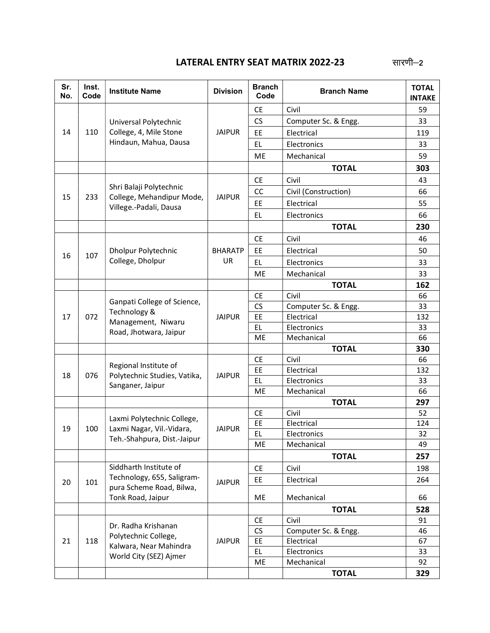| Sr.<br>No. | Inst.<br>Code | <b>Institute Name</b>                                                     | <b>Division</b> | <b>Branch</b><br>Code | <b>Branch Name</b>        | <b>TOTAL</b><br><b>INTAKE</b> |
|------------|---------------|---------------------------------------------------------------------------|-----------------|-----------------------|---------------------------|-------------------------------|
|            |               |                                                                           |                 | <b>CE</b>             | Civil                     | 59                            |
|            |               | Universal Polytechnic                                                     |                 | <b>CS</b>             | Computer Sc. & Engg.      | 33                            |
| 14         | 110           | College, 4, Mile Stone<br>Hindaun, Mahua, Dausa                           | <b>JAIPUR</b>   | EE                    | Electrical                | 119                           |
|            |               |                                                                           |                 | EL.                   | Electronics               | 33                            |
|            |               |                                                                           |                 | ME                    | Mechanical                | 59                            |
|            |               |                                                                           |                 |                       | <b>TOTAL</b>              | 303                           |
|            |               |                                                                           |                 | <b>CE</b>             | Civil                     | 43                            |
|            |               | Shri Balaji Polytechnic                                                   |                 | CC                    | Civil (Construction)      | 66                            |
| 15         | 233           | College, Mehandipur Mode,                                                 | <b>JAIPUR</b>   | EE                    | Electrical                | 55                            |
|            |               | Villege.-Padali, Dausa                                                    |                 | EL.                   | Electronics               | 66                            |
|            |               |                                                                           |                 |                       | <b>TOTAL</b>              | 230                           |
|            |               |                                                                           |                 | <b>CE</b>             | Civil                     | 46                            |
|            |               | Dholpur Polytechnic                                                       | <b>BHARATP</b>  | EE                    | Electrical                | 50                            |
| 16         | 107           | College, Dholpur                                                          | UR              | EL                    | Electronics               | 33                            |
|            |               |                                                                           |                 | ME                    | Mechanical                | 33                            |
|            |               |                                                                           |                 |                       | <b>TOTAL</b>              | 162                           |
| 072<br>17  |               |                                                                           |                 | <b>CE</b>             | Civil                     | 66                            |
|            |               | Ganpati College of Science,                                               |                 | CS                    | Computer Sc. & Engg.      | 33                            |
|            |               | Technology &                                                              | <b>JAIPUR</b>   | EE                    | Electrical                | 132                           |
|            |               | Management, Niwaru<br>Road, Jhotwara, Jaipur                              |                 | EL                    | Electronics               | 33                            |
|            |               |                                                                           |                 | ME                    | Mechanical                | 66                            |
|            |               |                                                                           |                 |                       | <b>TOTAL</b>              | 330                           |
|            |               | Regional Institute of<br>Polytechnic Studies, Vatika,<br>Sanganer, Jaipur | <b>JAIPUR</b>   | <b>CE</b>             | Civil                     | 66                            |
| 18         | 076           |                                                                           |                 | EE                    | Electrical                | 132                           |
|            |               |                                                                           |                 | EL.                   | Electronics               | 33                            |
|            |               |                                                                           |                 | ME                    | Mechanical                | 66                            |
|            |               |                                                                           |                 |                       | <b>TOTAL</b>              | 297                           |
|            |               | Laxmi Polytechnic College,                                                |                 | <b>CE</b><br>EE       | Civil                     | 52<br>124                     |
| 19         | 100           | Laxmi Nagar, Vil.-Vidara,                                                 | <b>JAIPUR</b>   | EL.                   | Electrical<br>Electronics | 32                            |
|            |               | Teh.-Shahpura, Dist.-Jaipur                                               |                 | ME                    | Mechanical                | 49                            |
|            |               |                                                                           |                 |                       | <b>TOTAL</b>              | 257                           |
|            |               | Siddharth Institute of                                                    |                 | <b>CE</b>             | Civil                     | 198                           |
|            |               | Technology, 655, Saligram-                                                |                 | EE                    | Electrical                | 264                           |
| 20         | 101           | pura Scheme Road, Bilwa,                                                  | <b>JAIPUR</b>   |                       |                           |                               |
|            |               | Tonk Road, Jaipur                                                         |                 | ME                    | Mechanical                | 66                            |
|            |               |                                                                           |                 |                       | <b>TOTAL</b>              | 528                           |
|            |               | Dr. Radha Krishanan                                                       |                 | <b>CE</b>             | Civil                     | 91                            |
|            |               | Polytechnic College,                                                      |                 | CS                    | Computer Sc. & Engg.      | 46                            |
| 21         | 118           | Kalwara, Near Mahindra                                                    | <b>JAIPUR</b>   | EE                    | Electrical                | 67                            |
|            |               | World City (SEZ) Ajmer                                                    |                 | EL.                   | Electronics               | 33                            |
|            |               |                                                                           |                 | ME                    | Mechanical                | 92                            |
|            |               |                                                                           |                 |                       | <b>TOTAL</b>              | 329                           |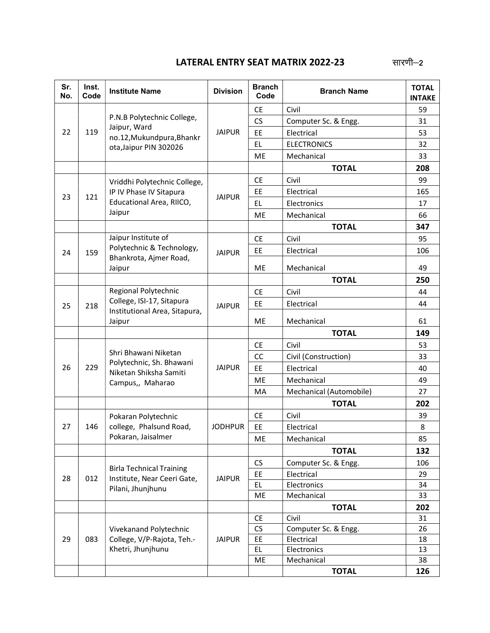| Sr.<br>No. | Inst.<br>Code                                 | <b>Institute Name</b>                                                                          | <b>Division</b> | <b>Branch</b><br>Code | <b>Branch Name</b>      | <b>TOTAL</b><br><b>INTAKE</b> |
|------------|-----------------------------------------------|------------------------------------------------------------------------------------------------|-----------------|-----------------------|-------------------------|-------------------------------|
|            |                                               |                                                                                                |                 | <b>CE</b>             | Civil                   | 59                            |
|            |                                               | P.N.B Polytechnic College,                                                                     |                 | CS                    | Computer Sc. & Engg.    | 31                            |
| 22         | 119                                           | Jaipur, Ward<br>no.12, Mukundpura, Bhankr<br>ota, Jaipur PIN 302026                            | <b>JAIPUR</b>   | EE                    | Electrical              | 53                            |
|            |                                               |                                                                                                |                 | EL.                   | <b>ELECTRONICS</b>      | 32                            |
|            |                                               |                                                                                                |                 | ME                    | Mechanical              | 33                            |
|            |                                               |                                                                                                |                 |                       | <b>TOTAL</b>            | 208                           |
|            |                                               | Vriddhi Polytechnic College,                                                                   |                 | <b>CE</b>             | Civil                   | 99                            |
|            |                                               | IP IV Phase IV Sitapura                                                                        |                 | EE                    | Electrical              | 165                           |
| 23         | 121                                           | Educational Area, RIICO,                                                                       | <b>JAIPUR</b>   | EL.                   | Electronics             | 17                            |
|            |                                               | Jaipur                                                                                         |                 | ME                    | Mechanical              | 66                            |
|            |                                               |                                                                                                |                 |                       | <b>TOTAL</b>            | 347                           |
|            |                                               | Jaipur Institute of                                                                            |                 | <b>CE</b>             | Civil                   | 95                            |
|            |                                               | Polytechnic & Technology,                                                                      |                 | EE                    | Electrical              | 106                           |
|            | 159<br>24<br>Bhankrota, Ajmer Road,<br>Jaipur | <b>JAIPUR</b>                                                                                  | <b>ME</b>       | Mechanical            | 49                      |                               |
|            |                                               |                                                                                                |                 |                       | <b>TOTAL</b>            | 250                           |
| 25         |                                               | Regional Polytechnic                                                                           |                 | <b>CE</b>             | Civil                   | 44                            |
|            | 218                                           | College, ISI-17, Sitapura                                                                      | <b>JAIPUR</b>   | EE                    | Electrical              | 44                            |
|            |                                               | Institutional Area, Sitapura,                                                                  |                 |                       |                         |                               |
|            |                                               | Jaipur                                                                                         |                 | <b>ME</b>             | Mechanical              | 61                            |
|            |                                               |                                                                                                |                 |                       | <b>TOTAL</b>            | 149                           |
|            |                                               | Shri Bhawani Niketan<br>Polytechnic, Sh. Bhawani<br>Niketan Shiksha Samiti<br>Campus,, Maharao |                 | <b>CE</b>             | Civil                   | 53                            |
|            | 229                                           |                                                                                                | <b>JAIPUR</b>   | CC                    | Civil (Construction)    | 33                            |
| 26         |                                               |                                                                                                |                 | EE                    | Electrical              | 40                            |
|            |                                               |                                                                                                |                 | ME                    | Mechanical              | 49                            |
|            |                                               |                                                                                                |                 | MA                    | Mechanical (Automobile) | 27                            |
|            |                                               |                                                                                                |                 |                       | <b>TOTAL</b>            | 202                           |
|            |                                               | Pokaran Polytechnic                                                                            |                 | <b>CE</b>             | Civil                   | 39                            |
| 27         | 146                                           | college, Phalsund Road,                                                                        | <b>JODHPUR</b>  | EE                    | Electrical              | 8                             |
|            |                                               | Pokaran, Jaisalmer                                                                             |                 | ME                    | Mechanical              | 85                            |
|            |                                               |                                                                                                |                 |                       | <b>TOTAL</b>            | 132                           |
|            |                                               |                                                                                                |                 | <b>CS</b>             | Computer Sc. & Engg.    | 106                           |
|            |                                               | <b>Birla Technical Training</b>                                                                |                 | EE                    | Electrical              | 29                            |
| 28         | 012                                           | Institute, Near Ceeri Gate,<br>Pilani, Jhunjhunu                                               | <b>JAIPUR</b>   | EL.                   | Electronics             | 34                            |
|            |                                               |                                                                                                |                 | ME                    | Mechanical              | 33                            |
|            |                                               |                                                                                                |                 |                       | <b>TOTAL</b>            | 202                           |
|            |                                               |                                                                                                |                 | <b>CE</b>             | Civil                   | 31                            |
|            |                                               | Vivekanand Polytechnic                                                                         |                 | CS                    | Computer Sc. & Engg.    | 26                            |
| 29         | 083                                           | College, V/P-Rajota, Teh.-                                                                     | <b>JAIPUR</b>   | EE                    | Electrical              | 18                            |
|            |                                               | Khetri, Jhunjhunu                                                                              |                 | EL.                   | Electronics             | 13                            |
|            |                                               |                                                                                                |                 | ME                    | Mechanical              | 38                            |
|            |                                               |                                                                                                |                 |                       | <b>TOTAL</b>            | 126                           |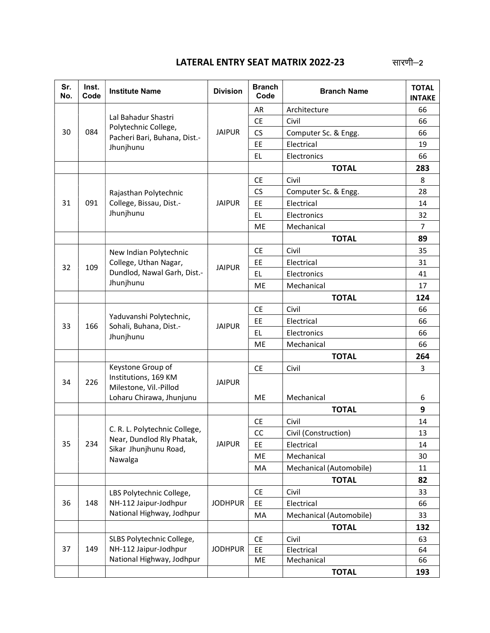| Sr.<br>No. | Inst.<br>Code | <b>Institute Name</b>                                      | <b>Division</b> | <b>Branch</b><br>Code | <b>Branch Name</b>      | <b>TOTAL</b><br><b>INTAKE</b> |
|------------|---------------|------------------------------------------------------------|-----------------|-----------------------|-------------------------|-------------------------------|
|            |               |                                                            |                 | AR                    | Architecture            | 66                            |
|            |               | Lal Bahadur Shastri<br>Polytechnic College,                |                 | <b>CE</b>             | Civil                   | 66                            |
| 30         | 084           | Pacheri Bari, Buhana, Dist.-<br>Jhunjhunu                  | <b>JAIPUR</b>   | <b>CS</b>             | Computer Sc. & Engg.    | 66                            |
|            |               |                                                            |                 | EE                    | Electrical              | 19                            |
|            |               |                                                            |                 | EL.                   | Electronics             | 66                            |
|            |               |                                                            |                 |                       | <b>TOTAL</b>            | 283                           |
|            |               |                                                            |                 | <b>CE</b>             | Civil                   | 8                             |
|            |               | Rajasthan Polytechnic                                      |                 | <b>CS</b>             | Computer Sc. & Engg.    | 28                            |
| 31         | 091           | College, Bissau, Dist.-                                    | <b>JAIPUR</b>   | EE                    | Electrical              | 14                            |
|            |               | Jhunjhunu                                                  |                 | EL                    | Electronics             | 32                            |
|            |               |                                                            |                 | ME                    | Mechanical              | $\overline{7}$                |
|            |               |                                                            |                 |                       | <b>TOTAL</b>            | 89                            |
|            |               | New Indian Polytechnic                                     |                 | <b>CE</b>             | Civil                   | 35                            |
| 32<br>109  |               | College, Uthan Nagar,                                      |                 | EE                    | Electrical              | 31                            |
|            |               | Dundlod, Nawal Garh, Dist.-<br>Jhunjhunu                   | <b>JAIPUR</b>   | EL                    | Electronics             | 41                            |
|            |               |                                                            |                 | ME                    | Mechanical              | 17                            |
|            |               |                                                            |                 |                       | <b>TOTAL</b>            | 124                           |
|            |               |                                                            |                 | <b>CE</b>             | Civil                   | 66                            |
|            |               | Yaduvanshi Polytechnic,                                    |                 | EE                    | Electrical              | 66                            |
| 33         | 166           | Sohali, Buhana, Dist.-<br>Jhunjhunu                        | <b>JAIPUR</b>   | EL                    | Electronics             | 66                            |
|            |               |                                                            |                 | <b>ME</b>             | Mechanical              | 66                            |
|            |               |                                                            |                 |                       | <b>TOTAL</b>            | 264                           |
|            |               | Keystone Group of                                          |                 | <b>CE</b>             | Civil                   | 3                             |
| 34         | 226           | Institutions, 169 KM<br>Milestone, Vil.-Pillod             | <b>JAIPUR</b>   |                       |                         |                               |
|            |               | Loharu Chirawa, Jhunjunu                                   |                 | ME                    | Mechanical              | 6                             |
|            |               |                                                            |                 |                       | <b>TOTAL</b>            | 9                             |
|            |               |                                                            |                 | <b>CE</b>             | Civil                   | 14                            |
|            |               | C. R. L. Polytechnic College,<br>Near, Dundlod Rly Phatak, |                 | CC                    | Civil (Construction)    | 13                            |
| 35         | 234           | Sikar Jhunjhunu Road,                                      | <b>JAIPUR</b>   | EE                    | Electrical              | 14                            |
|            |               | Nawalga                                                    |                 | ME                    | Mechanical              | 30                            |
|            |               |                                                            |                 | MA                    | Mechanical (Automobile) | 11                            |
|            |               |                                                            |                 |                       | <b>TOTAL</b>            | 82                            |
|            |               | LBS Polytechnic College,                                   |                 | <b>CE</b>             | Civil                   | 33                            |
| 36         | 148           | NH-112 Jaipur-Jodhpur                                      | <b>JODHPUR</b>  | EE                    | Electrical              | 66                            |
|            |               | National Highway, Jodhpur                                  |                 | MA                    | Mechanical (Automobile) | 33                            |
|            |               |                                                            |                 |                       | <b>TOTAL</b>            | 132                           |
|            |               | SLBS Polytechnic College,                                  |                 | CE                    | Civil                   | 63                            |
| 37         | 149           | NH-112 Jaipur-Jodhpur                                      | <b>JODHPUR</b>  | EE                    | Electrical              | 64                            |
|            |               | National Highway, Jodhpur                                  |                 | ME                    | Mechanical              | 66                            |
|            |               |                                                            |                 |                       | <b>TOTAL</b>            | 193                           |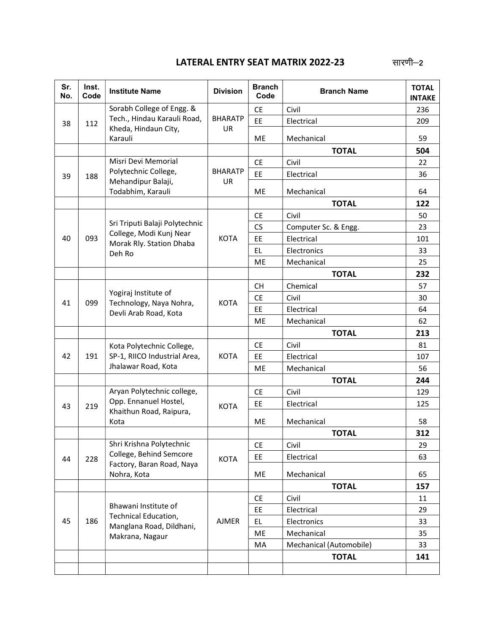| Sr.<br>No. | Inst.<br>Code | <b>Institute Name</b>                                                            | <b>Division</b> | <b>Branch</b><br>Code | <b>Branch Name</b>      | <b>TOTAL</b><br><b>INTAKE</b> |
|------------|---------------|----------------------------------------------------------------------------------|-----------------|-----------------------|-------------------------|-------------------------------|
|            |               | Sorabh College of Engg. &                                                        |                 | <b>CE</b>             | Civil                   | 236                           |
| 38         | 112           | Tech., Hindau Karauli Road,                                                      | <b>BHARATP</b>  | EE                    | Electrical              | 209                           |
|            |               | Kheda, Hindaun City,<br>Karauli                                                  | <b>UR</b>       | <b>ME</b>             | Mechanical              | 59                            |
|            |               |                                                                                  |                 |                       | <b>TOTAL</b>            | 504                           |
|            |               | Misri Devi Memorial                                                              |                 | <b>CE</b>             | Civil                   | 22                            |
| 39         | 188           | Polytechnic College,                                                             | <b>BHARATP</b>  | EE                    | Electrical              | 36                            |
|            |               | Mehandipur Balaji,<br>Todabhim, Karauli                                          | UR              | <b>ME</b>             | Mechanical              | 64                            |
|            |               |                                                                                  |                 |                       | <b>TOTAL</b>            | 122                           |
|            |               |                                                                                  |                 | <b>CE</b>             | Civil                   | 50                            |
|            |               | Sri Triputi Balaji Polytechnic                                                   |                 | <b>CS</b>             | Computer Sc. & Engg.    | 23                            |
| 093<br>40  |               | College, Modi Kunj Near<br>Morak Rly. Station Dhaba<br>Deh Ro                    | <b>KOTA</b>     | EE                    | Electrical              | 101                           |
|            |               |                                                                                  |                 | EL.                   | Electronics             | 33                            |
|            |               |                                                                                  |                 | <b>ME</b>             | Mechanical              | 25                            |
|            |               |                                                                                  |                 |                       | <b>TOTAL</b>            | 232                           |
|            |               |                                                                                  |                 | <b>CH</b>             | Chemical                | 57                            |
| 41         | 099           | Yogiraj Institute of<br>Technology, Naya Nohra,                                  | <b>KOTA</b>     | <b>CE</b>             | Civil                   | 30                            |
|            |               | Devli Arab Road, Kota                                                            |                 | EE                    | Electrical              | 64                            |
|            |               |                                                                                  |                 | <b>ME</b>             | Mechanical              | 62                            |
|            |               |                                                                                  |                 |                       | <b>TOTAL</b>            | 213                           |
|            |               | Kota Polytechnic College,<br>SP-1, RIICO Industrial Area,<br>Jhalawar Road, Kota |                 | <b>CE</b>             | Civil                   | 81                            |
| 42         | 191           |                                                                                  | <b>KOTA</b>     | EE                    | Electrical              | 107                           |
|            |               |                                                                                  |                 | <b>ME</b>             | Mechanical              | 56                            |
|            |               |                                                                                  |                 |                       | <b>TOTAL</b>            | 244                           |
|            |               | Aryan Polytechnic college,                                                       |                 | <b>CE</b>             | Civil                   | 129                           |
| 43         | 219           | Opp. Ennanuel Hostel,                                                            | <b>KOTA</b>     | EE                    | Electrical              | 125                           |
|            |               | Khaithun Road, Raipura,<br>Kota                                                  |                 | ME                    | Mechanical              | 58                            |
|            |               |                                                                                  |                 |                       | <b>TOTAL</b>            | 312                           |
|            |               | Shri Krishna Polytechnic<br>College, Behind Semcore                              |                 | <b>CE</b>             | Civil                   | 29                            |
| 44         | 228           | Factory, Baran Road, Naya                                                        | <b>KOTA</b>     | EE                    | Electrical              | 63                            |
|            |               | Nohra, Kota                                                                      |                 | ME                    | Mechanical              | 65                            |
|            |               |                                                                                  |                 |                       | <b>TOTAL</b>            | 157                           |
|            |               |                                                                                  |                 | <b>CE</b>             | Civil                   | 11                            |
|            |               | Bhawani Institute of<br><b>Technical Education,</b>                              |                 | EE                    | Electrical              | 29                            |
| 45         | 186           | Manglana Road, Dildhani,                                                         | <b>AJMER</b>    | EL.                   | Electronics             | 33                            |
|            |               | Makrana, Nagaur                                                                  |                 | ME                    | Mechanical              | 35                            |
|            |               |                                                                                  |                 | MA                    | Mechanical (Automobile) | 33                            |
|            |               |                                                                                  |                 |                       | <b>TOTAL</b>            | 141                           |
|            |               |                                                                                  |                 |                       |                         |                               |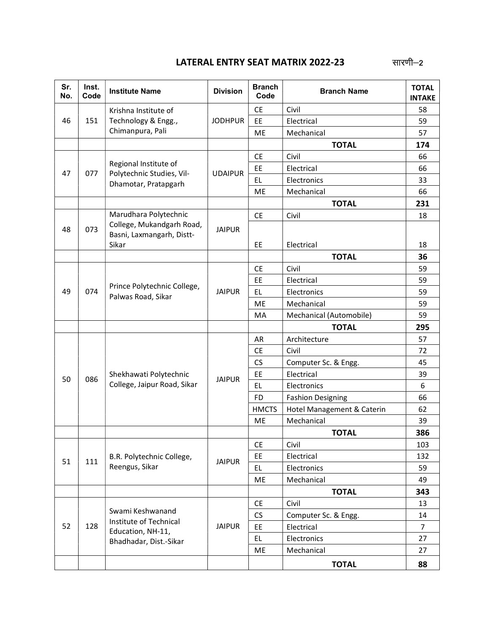| Sr.<br>No. | Inst.<br>Code | <b>Institute Name</b>                                                      | <b>Division</b> | <b>Branch</b><br>Code | <b>Branch Name</b>         | <b>TOTAL</b><br><b>INTAKE</b> |
|------------|---------------|----------------------------------------------------------------------------|-----------------|-----------------------|----------------------------|-------------------------------|
|            |               | Krishna Institute of                                                       |                 | <b>CE</b>             | Civil                      | 58                            |
| 46         | 151           | Technology & Engg.,                                                        | <b>JODHPUR</b>  | EE                    | Electrical                 | 59                            |
|            |               | Chimanpura, Pali                                                           |                 | <b>ME</b>             | Mechanical                 | 57                            |
|            |               |                                                                            |                 |                       | <b>TOTAL</b>               | 174                           |
|            |               |                                                                            |                 | <b>CE</b>             | Civil                      | 66                            |
| 47         | 077           | Regional Institute of<br>Polytechnic Studies, Vil-<br>Dhamotar, Pratapgarh | <b>UDAIPUR</b>  | EE                    | Electrical                 | 66                            |
|            |               |                                                                            |                 | EL.                   | Electronics                | 33                            |
|            |               |                                                                            |                 | ME                    | Mechanical                 | 66                            |
|            |               |                                                                            |                 |                       | <b>TOTAL</b>               | 231                           |
|            |               | Marudhara Polytechnic                                                      |                 | <b>CE</b>             | Civil                      | 18                            |
| 48         | 073           | College, Mukandgarh Road,<br>Basni, Laxmangarh, Distt-                     | <b>JAIPUR</b>   |                       |                            |                               |
|            |               | Sikar                                                                      |                 | EE                    | Electrical                 | 18                            |
|            |               |                                                                            |                 |                       | <b>TOTAL</b>               | 36                            |
| 49         |               |                                                                            |                 | <b>CE</b>             | Civil                      | 59                            |
|            |               | Prince Polytechnic College,<br>Palwas Road, Sikar                          |                 | EE                    | Electrical                 | 59                            |
|            | 074           |                                                                            | <b>JAIPUR</b>   | EL                    | Electronics                | 59                            |
|            |               |                                                                            |                 | <b>ME</b>             | Mechanical                 | 59                            |
|            |               |                                                                            |                 | MA                    | Mechanical (Automobile)    | 59                            |
|            |               |                                                                            |                 |                       | <b>TOTAL</b>               | 295                           |
|            |               | Shekhawati Polytechnic<br>College, Jaipur Road, Sikar                      |                 | <b>AR</b>             | Architecture               | 57                            |
|            |               |                                                                            | <b>JAIPUR</b>   | <b>CE</b>             | Civil                      | 72                            |
|            |               |                                                                            |                 | <b>CS</b>             | Computer Sc. & Engg.       | 45                            |
| 50         | 086           |                                                                            |                 | EE                    | Electrical                 | 39                            |
|            |               |                                                                            |                 | EL.                   | Electronics                | 6                             |
|            |               |                                                                            |                 | <b>FD</b>             | <b>Fashion Designing</b>   | 66                            |
|            |               |                                                                            |                 | <b>HMCTS</b>          | Hotel Management & Caterin | 62                            |
|            |               |                                                                            |                 | <b>ME</b>             | Mechanical                 | 39                            |
|            |               |                                                                            |                 |                       | <b>TOTAL</b>               | 386                           |
|            |               |                                                                            |                 | <b>CE</b>             | Civil                      | 103                           |
| 51         | 111           | B.R. Polytechnic College,                                                  | <b>JAIPUR</b>   | EE                    | Electrical                 | 132                           |
|            |               | Reengus, Sikar                                                             |                 | EL.                   | Electronics                | 59                            |
|            |               |                                                                            |                 | ME                    | Mechanical                 | 49                            |
|            |               |                                                                            |                 |                       | <b>TOTAL</b>               | 343                           |
|            |               | Swami Keshwanand                                                           |                 | <b>CE</b>             | Civil                      | 13                            |
|            |               | Institute of Technical                                                     |                 | <b>CS</b>             | Computer Sc. & Engg.       | 14                            |
| 52         | 128           | Education, NH-11,                                                          | <b>JAIPUR</b>   | EE                    | Electrical                 | $\overline{7}$                |
|            |               | Bhadhadar, Dist.-Sikar                                                     |                 | EL.                   | Electronics                | 27                            |
|            |               |                                                                            |                 | ME                    | Mechanical                 | 27                            |
|            |               |                                                                            |                 |                       | <b>TOTAL</b>               | 88                            |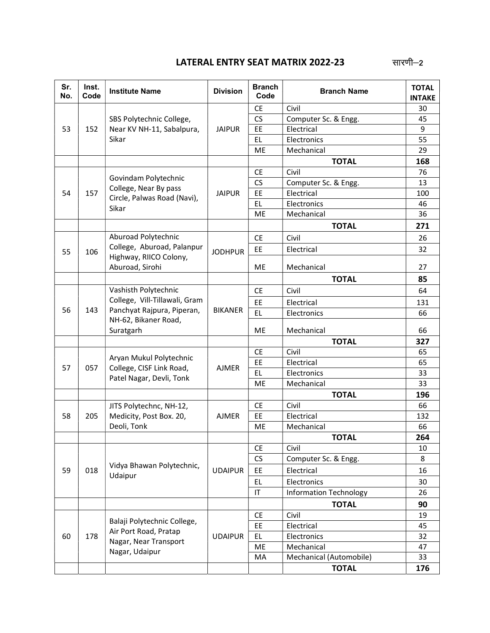| Sr.<br>No. | Inst.<br>Code | <b>Institute Name</b>                                                                                                    | <b>Division</b> | <b>Branch</b><br>Code  | <b>Branch Name</b>            | <b>TOTAL</b><br><b>INTAKE</b> |
|------------|---------------|--------------------------------------------------------------------------------------------------------------------------|-----------------|------------------------|-------------------------------|-------------------------------|
| 53         |               |                                                                                                                          |                 | <b>CE</b>              | Civil                         | 30                            |
|            |               | SBS Polytechnic College,                                                                                                 |                 | CS                     | Computer Sc. & Engg.          | 45                            |
|            | 152           | Near KV NH-11, Sabalpura,                                                                                                | <b>JAIPUR</b>   | EE                     | Electrical                    | 9                             |
|            |               | Sikar                                                                                                                    |                 | EL                     | Electronics                   | 55                            |
|            |               |                                                                                                                          |                 | ME                     | Mechanical                    | 29                            |
|            |               |                                                                                                                          |                 |                        | <b>TOTAL</b>                  | 168                           |
|            |               |                                                                                                                          |                 | <b>CE</b>              | Civil                         | 76                            |
|            | 157           | Govindam Polytechnic<br>College, Near By pass<br>Circle, Palwas Road (Navi),                                             | <b>JAIPUR</b>   | CS                     | Computer Sc. & Engg.          | 13                            |
| 54         |               |                                                                                                                          |                 | EE                     | Electrical                    | 100                           |
|            |               |                                                                                                                          |                 | EL                     | Electronics                   | 46                            |
|            |               | Sikar                                                                                                                    |                 | ME                     | Mechanical                    | 36                            |
|            |               |                                                                                                                          |                 |                        | <b>TOTAL</b>                  | 271                           |
|            |               | Aburoad Polytechnic<br>College, Aburoad, Palanpur<br>Highway, RIICO Colony,<br>Aburoad, Sirohi                           |                 | <b>CE</b><br>Civil     |                               | 26                            |
|            |               |                                                                                                                          |                 | EE                     | Electrical                    | 32                            |
| 55         | 106           |                                                                                                                          | <b>JODHPUR</b>  |                        |                               |                               |
|            |               |                                                                                                                          |                 | <b>ME</b>              | Mechanical                    | 27                            |
|            |               |                                                                                                                          |                 |                        | <b>TOTAL</b>                  | 85                            |
|            |               | Vashisth Polytechnic<br>College, Vill-Tillawali, Gram<br>Panchyat Rajpura, Piperan,<br>NH-62, Bikaner Road,<br>Suratgarh |                 | <b>CE</b>              | Civil                         | 64                            |
|            | 143           |                                                                                                                          |                 | EE                     | Electrical                    | 131                           |
| 56         |               |                                                                                                                          | <b>BIKANER</b>  | <b>EL</b>              | Electronics                   | 66                            |
|            |               |                                                                                                                          |                 | ME                     | Mechanical                    | 66                            |
|            |               |                                                                                                                          |                 |                        | <b>TOTAL</b>                  | 327                           |
|            | 057           | Aryan Mukul Polytechnic<br>College, CISF Link Road,<br>Patel Nagar, Devli, Tonk                                          | <b>AJMER</b>    | <b>CE</b>              | Civil                         | 65                            |
|            |               |                                                                                                                          |                 | EE                     | Electrical                    | 65                            |
| 57         |               |                                                                                                                          |                 | <b>EL</b>              | Electronics                   | 33                            |
|            |               |                                                                                                                          |                 | ME                     | Mechanical                    | 33                            |
|            |               |                                                                                                                          |                 |                        | <b>TOTAL</b>                  | 196                           |
|            | 205           | JITS Polytechnc, NH-12,<br>Medicity, Post Box. 20,<br>Deoli, Tonk                                                        | <b>AJMER</b>    | <b>CE</b>              | Civil                         | 66                            |
| 58         |               |                                                                                                                          |                 | EE                     | Electrical                    | 132                           |
|            |               |                                                                                                                          |                 | <b>ME</b>              | Mechanical                    | 66                            |
|            |               |                                                                                                                          |                 |                        | <b>TOTAL</b>                  | 264                           |
|            | 018           | Vidya Bhawan Polytechnic,<br>Udaipur                                                                                     | <b>UDAIPUR</b>  | CE                     | Civil                         | 10                            |
|            |               |                                                                                                                          |                 | CS                     | Computer Sc. & Engg.          | 8                             |
| 59         |               |                                                                                                                          |                 | EE                     | Electrical                    | 16                            |
|            |               |                                                                                                                          |                 | EL                     | Electronics                   | 30                            |
|            |               |                                                                                                                          |                 | $\mathsf{I}\mathsf{T}$ | <b>Information Technology</b> | 26                            |
|            |               |                                                                                                                          |                 |                        | <b>TOTAL</b>                  | 90                            |
|            | 178           | Balaji Polytechnic College,<br>Air Port Road, Pratap<br>Nagar, Near Transport<br>Nagar, Udaipur                          |                 | <b>CE</b>              | Civil                         | 19                            |
|            |               |                                                                                                                          | <b>UDAIPUR</b>  | EE                     | Electrical                    | 45                            |
| 60         |               |                                                                                                                          |                 | EL.                    | Electronics                   | 32                            |
|            |               |                                                                                                                          |                 | ME                     | Mechanical                    | 47                            |
|            |               |                                                                                                                          |                 | MA                     | Mechanical (Automobile)       | 33                            |
|            |               |                                                                                                                          |                 |                        | <b>TOTAL</b>                  | 176                           |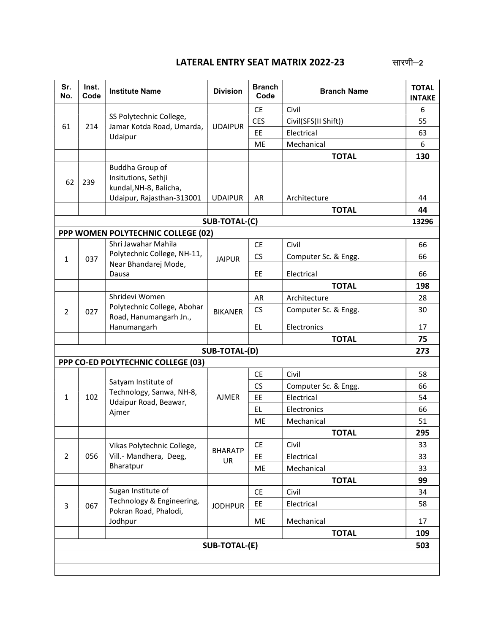| Sr.<br>No.             | Inst.<br>Code | <b>Institute Name</b>                                                                         | <b>Division</b>      | <b>Branch</b><br>Code | <b>Branch Name</b>   | <b>TOTAL</b><br><b>INTAKE</b> |  |  |
|------------------------|---------------|-----------------------------------------------------------------------------------------------|----------------------|-----------------------|----------------------|-------------------------------|--|--|
| 61                     | 214           | SS Polytechnic College,<br>Jamar Kotda Road, Umarda,<br>Udaipur                               |                      | <b>CE</b>             | Civil                | 6                             |  |  |
|                        |               |                                                                                               | <b>UDAIPUR</b>       | <b>CES</b>            | Civil(SFS(II Shift)) | 55                            |  |  |
|                        |               |                                                                                               |                      | EE                    | Electrical           | 63                            |  |  |
|                        |               |                                                                                               |                      | <b>ME</b>             | Mechanical           | 6                             |  |  |
|                        |               |                                                                                               |                      |                       | <b>TOTAL</b>         | 130                           |  |  |
| 62                     | 239           | Buddha Group of<br>Insitutions, Sethji<br>kundal, NH-8, Balicha,<br>Udaipur, Rajasthan-313001 | <b>UDAIPUR</b>       | AR                    | Architecture         | 44                            |  |  |
|                        |               |                                                                                               |                      |                       | <b>TOTAL</b>         | 44                            |  |  |
| SUB-TOTAL-(C)<br>13296 |               |                                                                                               |                      |                       |                      |                               |  |  |
|                        |               | PPP WOMEN POLYTECHNIC COLLEGE (02)                                                            |                      |                       |                      |                               |  |  |
|                        |               | Shri Jawahar Mahila                                                                           |                      | <b>CE</b><br>Civil    |                      | 66                            |  |  |
| $\mathbf{1}$           | 037           | Polytechnic College, NH-11,<br>Near Bhandarej Mode,                                           | <b>JAIPUR</b>        | CS                    | Computer Sc. & Engg. | 66                            |  |  |
|                        |               | Dausa                                                                                         |                      | EE                    | Electrical           | 66                            |  |  |
|                        |               |                                                                                               |                      |                       | <b>TOTAL</b>         | 198                           |  |  |
|                        |               | Shridevi Women<br>Polytechnic College, Abohar                                                 |                      | <b>AR</b>             | Architecture         | 28                            |  |  |
| $\overline{2}$         | 027           |                                                                                               | <b>BIKANER</b>       | CS                    | Computer Sc. & Engg. | 30                            |  |  |
|                        |               | Road, Hanumangarh Jn.,<br>Hanumangarh                                                         |                      | EL.                   | Electronics          | 17                            |  |  |
|                        |               |                                                                                               |                      |                       | <b>TOTAL</b>         | 75                            |  |  |
| SUB-TOTAL-(D)<br>273   |               |                                                                                               |                      |                       |                      |                               |  |  |
|                        |               | PPP CO-ED POLYTECHNIC COLLEGE (03)                                                            |                      |                       |                      |                               |  |  |
|                        | 102           | Satyam Institute of<br>Technology, Sanwa, NH-8,<br>Udaipur Road, Beawar,<br>Ajmer             | <b>AJMER</b>         | <b>CE</b>             | Civil                | 58                            |  |  |
|                        |               |                                                                                               |                      | CS                    | Computer Sc. & Engg. | 66                            |  |  |
| $\mathbf{1}$           |               |                                                                                               |                      | EE                    | Electrical           | 54                            |  |  |
|                        |               |                                                                                               |                      | EL.                   | Electronics          | 66                            |  |  |
|                        |               |                                                                                               |                      | <b>ME</b>             | Mechanical           | 51                            |  |  |
|                        |               |                                                                                               |                      |                       | <b>TOTAL</b>         | 295                           |  |  |
|                        | 056           | Vikas Polytechnic College,<br>Vill.- Mandhera, Deeg,<br>Bharatpur                             | <b>BHARATP</b><br>UR | <b>CE</b>             | Civil                | 33                            |  |  |
| $\overline{2}$         |               |                                                                                               |                      | EE                    | Electrical           | 33                            |  |  |
|                        |               |                                                                                               |                      | ME                    | Mechanical           | 33                            |  |  |
|                        |               |                                                                                               |                      |                       | <b>TOTAL</b>         | 99                            |  |  |
|                        | 067           | Sugan Institute of<br>Technology & Engineering,<br>Pokran Road, Phalodi,                      | <b>JODHPUR</b>       | <b>CE</b>             | Civil                | 34                            |  |  |
| 3                      |               |                                                                                               |                      | EE.                   | Electrical           | 58                            |  |  |
|                        |               | Jodhpur                                                                                       |                      | ME                    | Mechanical           | 17                            |  |  |
| <b>TOTAL</b>           |               |                                                                                               |                      |                       |                      | 109<br>503                    |  |  |
| SUB-TOTAL-(E)          |               |                                                                                               |                      |                       |                      |                               |  |  |
|                        |               |                                                                                               |                      |                       |                      |                               |  |  |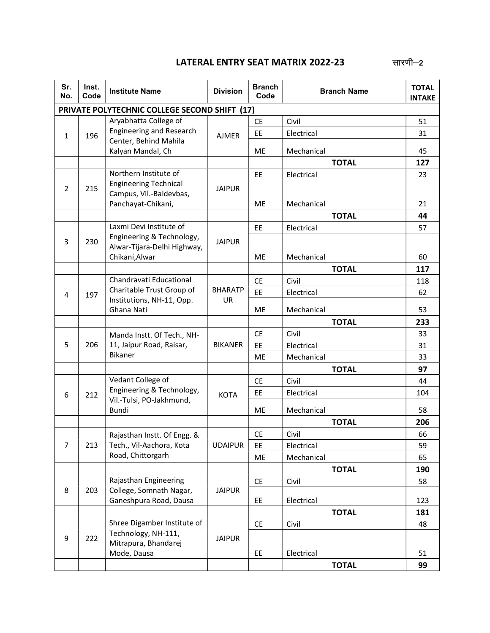| Sr.<br>No.     | Inst.<br>Code | <b>Institute Name</b>                                   | <b>Division</b> | <b>Branch</b><br>Code |            | <b>Branch Name</b> | <b>TOTAL</b><br><b>INTAKE</b> |
|----------------|---------------|---------------------------------------------------------|-----------------|-----------------------|------------|--------------------|-------------------------------|
|                |               | PRIVATE POLYTECHNIC COLLEGE SECOND SHIFT (17)           |                 |                       |            |                    |                               |
| $\mathbf{1}$   |               | Aryabhatta College of                                   |                 | <b>CE</b>             | Civil      |                    | 51                            |
|                | 196           | <b>Engineering and Research</b>                         | AJMER           | EE                    | Electrical |                    | 31                            |
|                |               | Center, Behind Mahila                                   |                 |                       |            |                    |                               |
|                |               | Kalyan Mandal, Ch                                       |                 | <b>ME</b>             | Mechanical |                    | 45                            |
|                |               | Northern Institute of                                   |                 |                       |            | <b>TOTAL</b>       | 127                           |
|                | 215           | <b>Engineering Technical</b>                            | <b>JAIPUR</b>   | EE                    | Electrical |                    | 23                            |
| $\overline{2}$ |               | Campus, Vil.-Baldevbas,                                 |                 |                       |            |                    |                               |
|                |               | Panchayat-Chikani,                                      |                 | ME                    | Mechanical |                    | 21                            |
|                |               |                                                         |                 |                       |            | <b>TOTAL</b>       | 44                            |
|                |               | Laxmi Devi Institute of                                 | <b>JAIPUR</b>   | EE                    | Electrical |                    | 57                            |
| 3              | 230           | Engineering & Technology,                               |                 |                       |            |                    |                               |
|                |               | Alwar-Tijara-Delhi Highway,<br>Chikani, Alwar           |                 | <b>ME</b>             |            |                    |                               |
|                |               |                                                         |                 |                       | Mechanical | <b>TOTAL</b>       | 60<br>117                     |
|                |               | Chandravati Educational                                 | <b>BHARATP</b>  |                       | Civil      |                    |                               |
|                |               | Charitable Trust Group of                               |                 | <b>CE</b>             |            |                    | 118                           |
| 4              | 197           | Institutions, NH-11, Opp.                               | UR              | EE                    | Electrical |                    | 62                            |
|                |               | Ghana Nati                                              |                 | ME                    | Mechanical |                    | 53                            |
|                |               |                                                         |                 |                       |            | <b>TOTAL</b>       | 233                           |
|                | 206           | Manda Instt. Of Tech., NH-                              |                 | <b>CE</b>             | Civil      |                    | 33                            |
| 5              |               | 11, Jaipur Road, Raisar,<br>Bikaner                     | <b>BIKANER</b>  | EE                    | Electrical |                    | 31                            |
|                |               |                                                         |                 | ME                    | Mechanical |                    | 33                            |
|                |               |                                                         |                 |                       |            | <b>TOTAL</b>       | 97                            |
|                | 212<br>Bundi  | Vedant College of<br>Engineering & Technology,          | <b>KOTA</b>     | <b>CE</b>             | Civil      |                    | 44                            |
| 6              |               |                                                         |                 | EE                    | Electrical |                    | 104                           |
|                |               | Vil.-Tulsi, PO-Jakhmund,                                |                 |                       |            |                    |                               |
|                |               |                                                         |                 | ME                    | Mechanical |                    | 58                            |
|                |               |                                                         |                 |                       |            | <b>TOTAL</b>       | 206                           |
| $\overline{7}$ | 213           | Rajasthan Instt. Of Engg. &<br>Tech., Vil-Aachora, Kota | <b>UDAIPUR</b>  | <b>CE</b><br>EE.      | Civil      |                    | 66<br>59                      |
|                |               | Road, Chittorgarh                                       |                 |                       | Electrical |                    |                               |
|                |               |                                                         |                 | ME                    | Mechanical |                    | 65                            |
|                |               | Rajasthan Engineering                                   |                 |                       |            | <b>TOTAL</b>       | 190                           |
| 8              | 203           | College, Somnath Nagar,                                 | <b>JAIPUR</b>   | <b>CE</b>             | Civil      |                    | 58                            |
|                |               | Ganeshpura Road, Dausa                                  |                 | EE.                   | Electrical |                    | 123                           |
|                |               |                                                         |                 |                       |            | <b>TOTAL</b>       | 181                           |
|                | 222           | Shree Digamber Institute of                             | <b>JAIPUR</b>   | <b>CE</b>             | Civil      |                    | 48                            |
| 9              |               | Technology, NH-111,                                     |                 |                       |            |                    |                               |
|                |               | Mitrapura, Bhandarej                                    |                 |                       |            |                    |                               |
|                |               | Mode, Dausa                                             |                 | EE.                   | Electrical |                    | 51                            |
|                |               |                                                         |                 |                       |            | <b>TOTAL</b>       | 99                            |